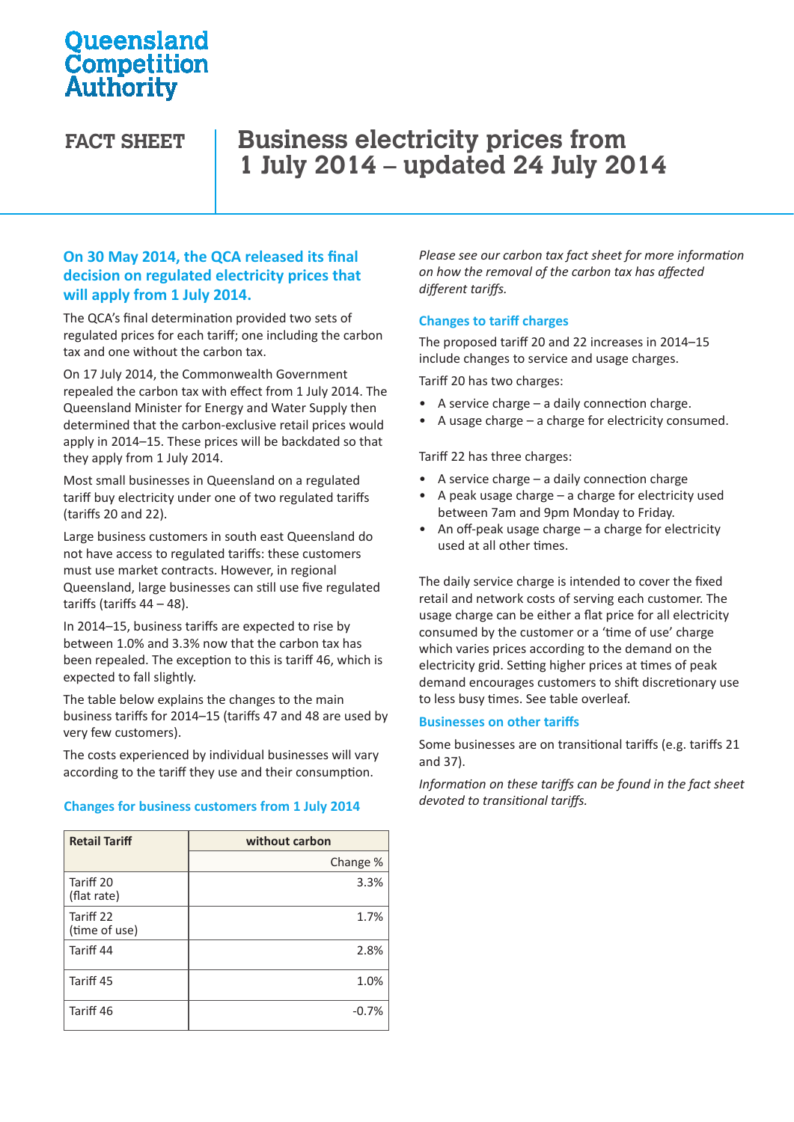## **Oueensland** Competition Authority

# FACT SHEET | Business electricity prices from **1 July 2014 – updated 24 July 2014**

## **On 30 May 2014, the QCA released its final decision on regulated electricity prices that will apply from 1 July 2014.**

The QCA's final determination provided two sets of regulated prices for each tariff; one including the carbon tax and one without the carbon tax.

On 17 July 2014, the Commonwealth Government repealed the carbon tax with effect from 1 July 2014. The Queensland Minister for Energy and Water Supply then determined that the carbon-exclusive retail prices would apply in 2014–15. These prices will be backdated so that they apply from 1 July 2014.

Most small businesses in Queensland on a regulated tariff buy electricity under one of two regulated tariffs (tariffs 20 and 22).

Large business customers in south east Queensland do not have access to regulated tariffs: these customers must use market contracts. However, in regional Queensland, large businesses can still use five regulated tariffs (tariffs  $44 - 48$ ).

In 2014–15, business tariffs are expected to rise by between 1.0% and 3.3% now that the carbon tax has been repealed. The exception to this is tariff 46, which is expected to fall slightly.

The table below explains the changes to the main business tariffs for 2014–15 (tariffs 47 and 48 are used by very few customers).

The costs experienced by individual businesses will vary according to the tariff they use and their consumption.

#### **Changes for business customers from 1 July 2014**

| <b>Retail Tariff</b>       | without carbon |  |
|----------------------------|----------------|--|
|                            | Change %       |  |
| Tariff 20<br>(flat rate)   | 3.3%           |  |
| Tariff 22<br>(time of use) | 1.7%           |  |
| Tariff 44                  | 2.8%           |  |
| Tariff 45                  | 1.0%           |  |
| Tariff 46                  | $-0.7%$        |  |

*Please see our carbon tax fact sheet for more information on how the removal of the carbon tax has affected different tariffs.* 

#### **Changes to tariff charges**

The proposed tariff 20 and 22 increases in 2014–15 include changes to service and usage charges.

Tariff 20 has two charges:

- A service charge  $-$  a daily connection charge.
- A usage charge a charge for electricity consumed.

Tariff 22 has three charges:

- A service charge a daily connection charge
- A peak usage charge  $-$  a charge for electricity used between 7am and 9pm Monday to Friday.
- An off-peak usage charge a charge for electricity used at all other times.

The daily service charge is intended to cover the fixed retail and network costs of serving each customer. The usage charge can be either a flat price for all electricity consumed by the customer or a 'time of use' charge which varies prices according to the demand on the electricity grid. Setting higher prices at times of peak demand encourages customers to shift discretionary use to less busy times. See table overleaf.

#### **Businesses on other tariffs**

Some businesses are on transitional tariffs (e.g. tariffs 21 and 37).

*Information on these tariffs can be found in the fact sheet devoted to transitional tariffs.*